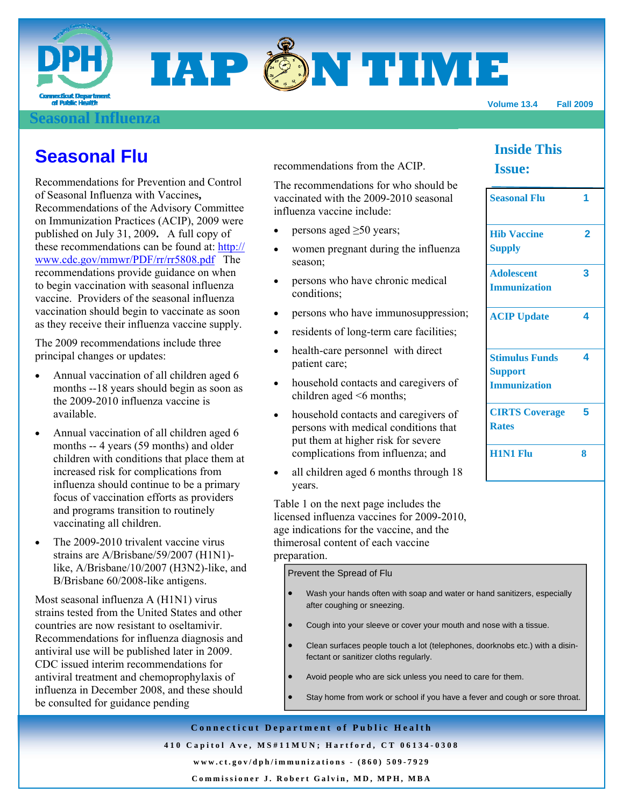

### **Sonal Influenza**

**Seasonal Flu 1** 

**ACIP Update 4** 

**Stimulus Funds** 

**CIRTS Coverage** 

**H1N1 Flu 8**

**Support Immunization** 

**Rates** 

 **2** 

**3** 

**4** 

**5** 

**Inside This** 

**Issue:** 

**Hib Vaccine Supply** 

**Adolescent Immunization** 

## **Seasonal Flu**

Recommendations for Prevention and Control of Seasonal Influenza with Vaccines**,** Recommendations of the Advisory Committee on Immunization Practices (ACIP), 2009 were published on July 31, 2009**.** A full copy of these recommendations can be found at: http:// www.cdc.gov/mmwr/PDF/rr/rr5808.pdf The recommendations provide guidance on when to begin vaccination with seasonal influenza vaccine. Providers of the seasonal influenza vaccination should begin to vaccinate as soon as they receive their influenza vaccine supply.

The 2009 recommendations include three principal changes or updates:

- Annual vaccination of all children aged 6 months --18 years should begin as soon as the 2009-2010 influenza vaccine is available.
- Annual vaccination of all children aged 6 months -- 4 years (59 months) and older children with conditions that place them at increased risk for complications from influenza should continue to be a primary focus of vaccination efforts as providers and programs transition to routinely vaccinating all children.
- The 2009-2010 trivalent vaccine virus strains are A/Brisbane/59/2007 (H1N1) like, A/Brisbane/10/2007 (H3N2)-like, and B/Brisbane 60/2008-like antigens.

Most seasonal influenza A (H1N1) virus strains tested from the United States and other countries are now resistant to oseltamivir. Recommendations for influenza diagnosis and antiviral use will be published later in 2009. CDC issued interim recommendations for antiviral treatment and chemoprophylaxis of influenza in December 2008, and these should be consulted for guidance pending

recommendations from the ACIP.

The recommendations for who should be vaccinated with the 2009-2010 seasonal influenza vaccine include:

- persons aged  $\geq 50$  years;
- women pregnant during the influenza season;
- persons who have chronic medical conditions;
- persons who have immunosuppression;
- residents of long-term care facilities;
- health-care personnel with direct patient care;
- household contacts and caregivers of children aged <6 months;
- household contacts and caregivers of persons with medical conditions that put them at higher risk for severe complications from influenza; and
- all children aged 6 months through 18 years.

Table 1 on the next page includes the licensed influenza vaccines for 2009-2010, age indications for the vaccine, and the thimerosal content of each vaccine preparation.

Prevent the Spread of Flu

- Wash your hands often with soap and water or hand sanitizers, especially after coughing or sneezing.
- Cough into your sleeve or cover your mouth and nose with a tissue.
- Clean surfaces people touch a lot (telephones, doorknobs etc.) with a disinfectant or sanitizer cloths regularly.
- Avoid people who are sick unless you need to care for them.
- Stay home from work or school if you have a fever and cough or sore throat.

**Connecticut Department of Public Health 410 Capitol Ave, MS#11MUN; Hartford, CT 06134-0308 www.ct.gov/dph/immunizations - (860) 509-7929** 

**Commissioner J. Robert Galvin, MD, MPH, MBA**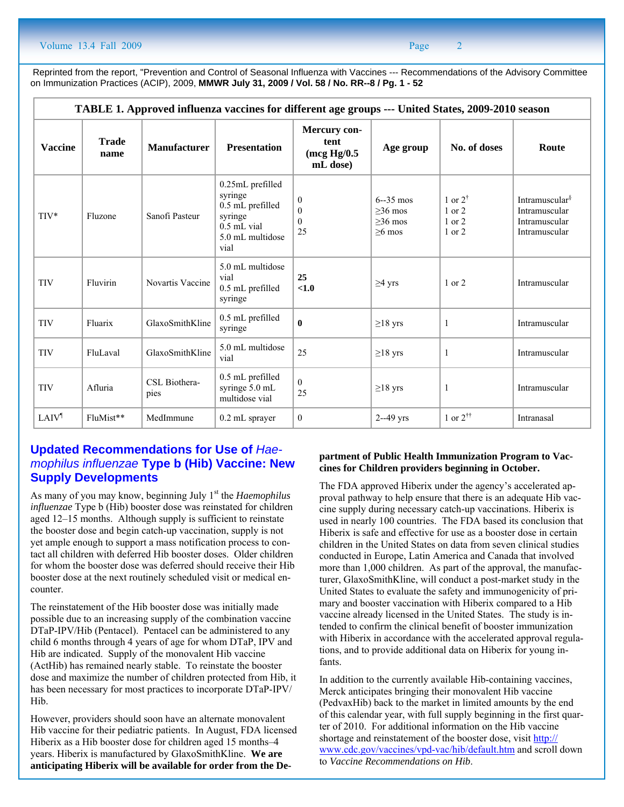Reprinted from the report, "Prevention and Control of Seasonal Influenza with Vaccines --- Recommendations of the Advisory Committee on Immunization Practices (ACIP), 2009, **MMWR July 31, 2009 / Vol. 58 / No. RR--8 / Pg. 1 - 52**

| TABLE 1. Approved influenza vaccines for different age groups --- United States, 2009-2010 season |                      |                       |                                                                                                         |                                                       |                                                    |                                                  |                                                                               |  |  |  |
|---------------------------------------------------------------------------------------------------|----------------------|-----------------------|---------------------------------------------------------------------------------------------------------|-------------------------------------------------------|----------------------------------------------------|--------------------------------------------------|-------------------------------------------------------------------------------|--|--|--|
| <b>Vaccine</b>                                                                                    | <b>Trade</b><br>name | <b>Manufacturer</b>   | <b>Presentation</b>                                                                                     | Mercury con-<br>tent<br>$($ mcg Hg $/0.5$<br>mL dose) | Age group                                          | No. of doses                                     | Route                                                                         |  |  |  |
| $TIV*$                                                                                            | Fluzone              | Sanofi Pasteur        | 0.25mL prefilled<br>syringe<br>0.5 mL prefilled<br>syringe<br>$0.5$ mL vial<br>5.0 mL multidose<br>vial | $\boldsymbol{0}$<br>$\theta$<br>$\theta$<br>25        | $6 - 35$ mos<br>$>36$ mos<br>$>36$ mos<br>$>6$ mos | 1 or $2^{\dagger}$<br>1 or 2<br>1 or 2<br>1 or 2 | Intramuscular <sup>§</sup><br>Intramuscular<br>Intramuscular<br>Intramuscular |  |  |  |
| <b>TIV</b>                                                                                        | Fluvirin             | Novartis Vaccine      | 5.0 mL multidose<br>vial<br>0.5 mL prefilled<br>syringe                                                 | 25<br>< 1.0                                           | $\geq$ 4 yrs                                       | $1$ or $2$                                       | Intramuscular                                                                 |  |  |  |
| <b>TIV</b>                                                                                        | Fluarix              | GlaxoSmithKline       | 0.5 mL prefilled<br>syringe                                                                             | $\mathbf{0}$                                          | $\geq$ 18 yrs                                      | $\mathbf{1}$                                     | Intramuscular                                                                 |  |  |  |
| <b>TIV</b>                                                                                        | FluLaval             | GlaxoSmithKline       | 5.0 mL multidose<br>vial                                                                                | 25                                                    | $\geq$ 18 yrs                                      | $\mathbf{1}$                                     | Intramuscular                                                                 |  |  |  |
| <b>TIV</b>                                                                                        | Afluria              | CSL Biothera-<br>pies | 0.5 mL prefilled<br>syringe 5.0 mL<br>multidose vial                                                    | $\Omega$<br>25                                        | $\geq$ 18 yrs                                      | $\mathbf{1}$                                     | Intramuscular                                                                 |  |  |  |
| <b>LAIV<sup>I</sup></b>                                                                           | FluMist**            | MedImmune             | 0.2 mL sprayer                                                                                          | $\overline{0}$                                        | $2 - 49$ yrs                                       | 1 or $2^{\dagger \dagger}$                       | Intranasal                                                                    |  |  |  |

### **Updated Recommendations for Use of** *Haemophilus influenzae* **Type b (Hib) Vaccine: New Supply Developments**

As many of you may know, beginning July 1<sup>st</sup> the *Haemophilus influenzae* Type b (Hib) booster dose was reinstated for children aged 12–15 months. Although supply is sufficient to reinstate the booster dose and begin catch-up vaccination, supply is not yet ample enough to support a mass notification process to contact all children with deferred Hib booster doses. Older children for whom the booster dose was deferred should receive their Hib booster dose at the next routinely scheduled visit or medical encounter.

The reinstatement of the Hib booster dose was initially made possible due to an increasing supply of the combination vaccine DTaP-IPV/Hib (Pentacel). Pentacel can be administered to any child 6 months through 4 years of age for whom DTaP, IPV and Hib are indicated. Supply of the monovalent Hib vaccine (ActHib) has remained nearly stable. To reinstate the booster dose and maximize the number of children protected from Hib, it has been necessary for most practices to incorporate DTaP-IPV/ Hib.

However, providers should soon have an alternate monovalent Hib vaccine for their pediatric patients. In August, FDA licensed Hiberix as a Hib booster dose for children aged 15 months–4 years. Hiberix is manufactured by GlaxoSmithKline. **We are anticipating Hiberix will be available for order from the De-**

#### **partment of Public Health Immunization Program to Vaccines for Children providers beginning in October.**

The FDA approved Hiberix under the agency's accelerated approval pathway to help ensure that there is an adequate Hib vaccine supply during necessary catch-up vaccinations. Hiberix is used in nearly 100 countries. The FDA based its conclusion that Hiberix is safe and effective for use as a booster dose in certain children in the United States on data from seven clinical studies conducted in Europe, Latin America and Canada that involved more than 1,000 children. As part of the approval, the manufacturer, GlaxoSmithKline, will conduct a post-market study in the United States to evaluate the safety and immunogenicity of primary and booster vaccination with Hiberix compared to a Hib vaccine already licensed in the United States. The study is intended to confirm the clinical benefit of booster immunization with Hiberix in accordance with the accelerated approval regulations, and to provide additional data on Hiberix for young infants.

In addition to the currently available Hib-containing vaccines, Merck anticipates bringing their monovalent Hib vaccine (PedvaxHib) back to the market in limited amounts by the end of this calendar year, with full supply beginning in the first quarter of 2010. For additional information on the Hib vaccine shortage and reinstatement of the booster dose, visit http:// www.cdc.gov/vaccines/vpd-vac/hib/default.htm and scroll down to *Vaccine Recommendations on Hib*.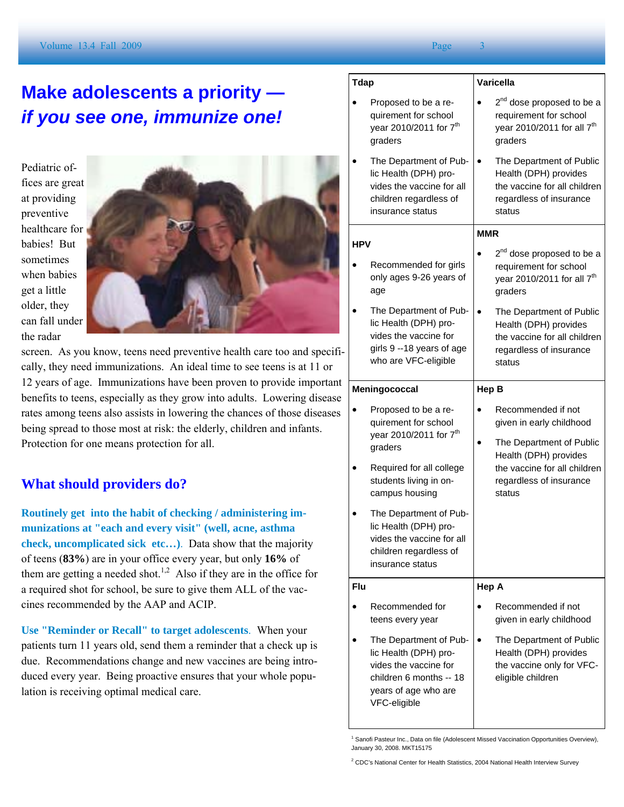# **Make adolescents a priority**  *if you see one, immunize one!*

Pediatric offices are great at providing preventive healthcare for babies! But sometimes when babies get a little older, they can fall under the radar



screen. As you know, teens need preventive health care too and specifically, they need immunizations. An ideal time to see teens is at 11 or 12 years of age. Immunizations have been proven to provide important benefits to teens, especially as they grow into adults. Lowering disease rates among teens also assists in lowering the chances of those diseases being spread to those most at risk: the elderly, children and infants. Protection for one means protection for all.

### **What should providers do?**

**Routinely get into the habit of checking / administering immunizations at "each and every visit" (well, acne, asthma check, uncomplicated sick etc…)**. Data show that the majority of teens (**83%**) are in your office every year, but only **16%** of them are getting a needed shot.<sup>1,2</sup> Also if they are in the office for a required shot for school, be sure to give them ALL of the vaccines recommended by the AAP and ACIP.

**Use "Reminder or Recall" to target adolescents**. When your patients turn 11 years old, send them a reminder that a check up is due. Recommendations change and new vaccines are being introduced every year. Being proactive ensures that your whole population is receiving optimal medical care.

| <b>Tdap</b> |                                                                                                                               | Varicella                                                                                                                           |  |  |  |
|-------------|-------------------------------------------------------------------------------------------------------------------------------|-------------------------------------------------------------------------------------------------------------------------------------|--|--|--|
|             | Proposed to be a re-<br>quirement for school<br>year 2010/2011 for 7 <sup>th</sup><br>graders                                 | 2 <sup>nd</sup> dose proposed to be a<br>requirement for school<br>year 2010/2011 for all 7 <sup>th</sup><br>graders                |  |  |  |
|             | The Department of Pub-<br>lic Health (DPH) pro-<br>vides the vaccine for all<br>children regardless of<br>insurance status    | The Department of Public<br>$\bullet$<br>Health (DPH) provides<br>the vaccine for all children<br>regardless of insurance<br>status |  |  |  |
| <b>HPV</b>  |                                                                                                                               | <b>MMR</b>                                                                                                                          |  |  |  |
|             | Recommended for girls<br>only ages 9-26 years of<br>age                                                                       | 2 <sup>nd</sup> dose proposed to be a<br>requirement for school<br>year 2010/2011 for all 7 <sup>th</sup><br>graders                |  |  |  |
|             | The Department of Pub-<br>lic Health (DPH) pro-<br>vides the vaccine for<br>girls 9 --18 years of age<br>who are VFC-eligible | The Department of Public<br>Health (DPH) provides<br>the vaccine for all children<br>regardless of insurance<br>status              |  |  |  |
|             | Meningococcal                                                                                                                 | Hep B                                                                                                                               |  |  |  |
|             | Proposed to be a re-<br>quirement for school                                                                                  | Recommended if not<br>given in early childhood                                                                                      |  |  |  |
|             | year 2010/2011 for 7 <sup>th</sup><br>graders                                                                                 | The Department of Public                                                                                                            |  |  |  |
|             | Required for all college<br>students living in on-<br>campus housing                                                          | Health (DPH) provides<br>the vaccine for all children<br>regardless of insurance<br>status                                          |  |  |  |
|             | The Department of Pub-<br>lic Health (DPH) pro-<br>vides the vaccine for all<br>children regardless of<br>insurance status    |                                                                                                                                     |  |  |  |
| Flu         |                                                                                                                               | Hep A                                                                                                                               |  |  |  |
|             | Recommended for<br>teens every year                                                                                           | Recommended if not<br>given in early childhood                                                                                      |  |  |  |

<sup>1</sup> Sanofi Pasteur Inc., Data on file (Adolescent Missed Vaccination Opportunities Overview), January 30, 2008. MKT15175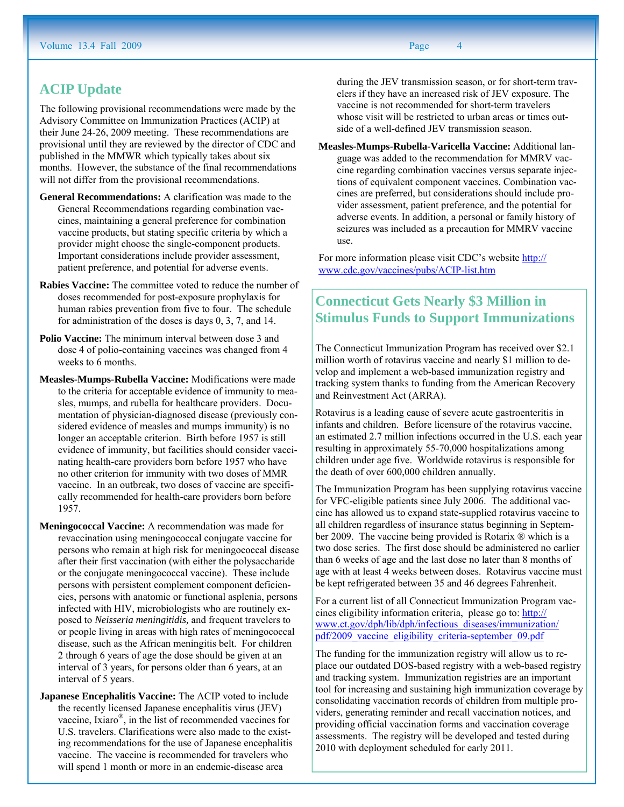### **ACIP Update**

The following provisional recommendations were made by the Advisory Committee on Immunization Practices (ACIP) at their June 24-26, 2009 meeting. These recommendations are provisional until they are reviewed by the director of CDC and published in the MMWR which typically takes about six months. However, the substance of the final recommendations will not differ from the provisional recommendations.

- **General Recommendations:** A clarification was made to the General Recommendations regarding combination vaccines, maintaining a general preference for combination vaccine products, but stating specific criteria by which a provider might choose the single-component products. Important considerations include provider assessment, patient preference, and potential for adverse events.
- **Rabies Vaccine:** The committee voted to reduce the number of doses recommended for post-exposure prophylaxis for human rabies prevention from five to four. The schedule for administration of the doses is days 0, 3, 7, and 14.
- **Polio Vaccine:** The minimum interval between dose 3 and dose 4 of polio-containing vaccines was changed from 4 weeks to 6 months.
- **Measles-Mumps-Rubella Vaccine:** Modifications were made to the criteria for acceptable evidence of immunity to measles, mumps, and rubella for healthcare providers. Documentation of physician-diagnosed disease (previously considered evidence of measles and mumps immunity) is no longer an acceptable criterion. Birth before 1957 is still evidence of immunity, but facilities should consider vaccinating health-care providers born before 1957 who have no other criterion for immunity with two doses of MMR vaccine. In an outbreak, two doses of vaccine are specifically recommended for health-care providers born before 1957.
- **Meningococcal Vaccine:** A recommendation was made for revaccination using meningococcal conjugate vaccine for persons who remain at high risk for meningococcal disease after their first vaccination (with either the polysaccharide or the conjugate meningococcal vaccine). These include persons with persistent complement component deficiencies, persons with anatomic or functional asplenia, persons infected with HIV, microbiologists who are routinely exposed to *Neisseria meningitidis,* and frequent travelers to or people living in areas with high rates of meningococcal disease, such as the African meningitis belt. For children 2 through 6 years of age the dose should be given at an interval of 3 years, for persons older than 6 years, at an interval of 5 years.
- **Japanese Encephalitis Vaccine:** The ACIP voted to include the recently licensed Japanese encephalitis virus (JEV) vaccine, Ixiaro $\mathbb{R}$ , in the list of recommended vaccines for U.S. travelers. Clarifications were also made to the existing recommendations for the use of Japanese encephalitis vaccine. The vaccine is recommended for travelers who will spend 1 month or more in an endemic-disease area

 during the JEV transmission season, or for short-term travelers if they have an increased risk of JEV exposure. The vaccine is not recommended for short-term travelers whose visit will be restricted to urban areas or times outside of a well-defined JEV transmission season.

**Measles-Mumps-Rubella-Varicella Vaccine:** Additional language was added to the recommendation for MMRV vaccine regarding combination vaccines versus separate injections of equivalent component vaccines. Combination vaccines are preferred, but considerations should include provider assessment, patient preference, and the potential for adverse events. In addition, a personal or family history of seizures was included as a precaution for MMRV vaccine use.

For more information please visit CDC's website http:// www.cdc.gov/vaccines/pubs/ACIP-list.htm

## **Connecticut Gets Nearly \$3 Million in Stimulus Funds to Support Immunizations**

The Connecticut Immunization Program has received over \$2.1 million worth of rotavirus vaccine and nearly \$1 million to develop and implement a web-based immunization registry and tracking system thanks to funding from the American Recovery and Reinvestment Act (ARRA).

Rotavirus is a leading cause of severe acute gastroenteritis in infants and children. Before licensure of the rotavirus vaccine, an estimated 2.7 million infections occurred in the U.S. each year resulting in approximately 55-70,000 hospitalizations among children under age five. Worldwide rotavirus is responsible for the death of over 600,000 children annually.

The Immunization Program has been supplying rotavirus vaccine for VFC-eligible patients since July 2006. The additional vaccine has allowed us to expand state-supplied rotavirus vaccine to all children regardless of insurance status beginning in September 2009. The vaccine being provided is Rotarix ® which is a two dose series. The first dose should be administered no earlier than 6 weeks of age and the last dose no later than 8 months of age with at least 4 weeks between doses. Rotavirus vaccine must be kept refrigerated between 35 and 46 degrees Fahrenheit.

For a current list of all Connecticut Immunization Program vaccines eligibility information criteria, please go to: http:// www.ct.gov/dph/lib/dph/infectious\_diseases/immunization/ pdf/2009\_vaccine\_eligibility\_criteria-september\_09.pdf

The funding for the immunization registry will allow us to replace our outdated DOS-based registry with a web-based registry and tracking system. Immunization registries are an important tool for increasing and sustaining high immunization coverage by consolidating vaccination records of children from multiple providers, generating reminder and recall vaccination notices, and providing official vaccination forms and vaccination coverage assessments. The registry will be developed and tested during 2010 with deployment scheduled for early 2011.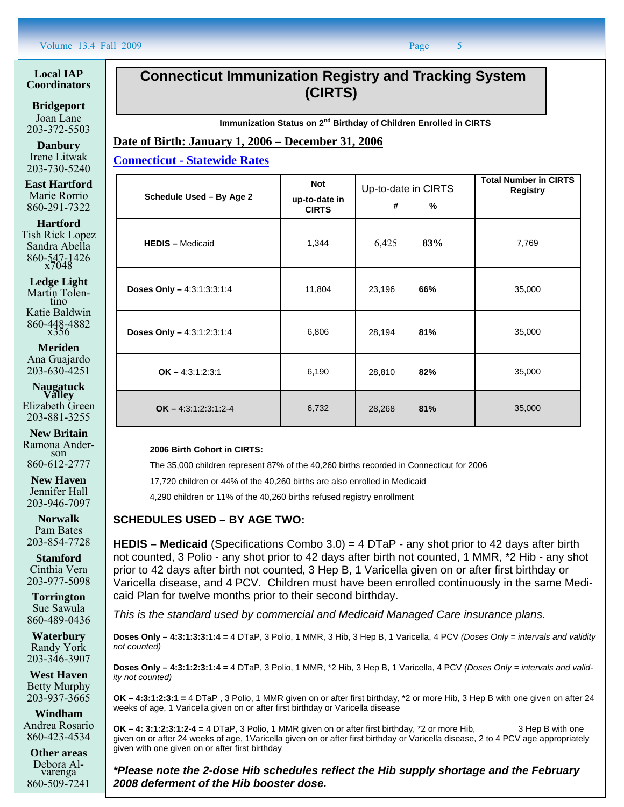#### **Local IAP Coordinators**

**Bridgeport**  Joan Lane 203-372-5503

**Danbury**  Irene Litwak 203-730-5240

**East Hartford**  Marie Rorrio 860-291-7322

**Hartford**  Tish Rick Lopez

Sandra Abella 860-547-1426 x7048

**Ledge Light**  Martin Tolen-<br>tino Katie Baldwin 860-448-4882 x356

**Meriden**  Ana Guajardo 203-630-4251

**Naugatuck Valley**  Elizabeth Green 203-881-3255

**New Britain**  Ramona Anderson 860-612-2777

**New Haven**  Jennifer Hall 203-946-7097

**Norwalk**  Pam Bates 203-854-7728

**Stamford**  Cinthia Vera 203-977-5098

**Torrington**  Sue Sawula 860-489-0436

**Waterbury**  Randy York 203-346-3907

**West Haven**  Betty Murphy 203-937-3665

**Windham**  Andrea Rosario 860-423-4534

**Other areas**  Debora Alvarenga 860-509-7241

## **Connecticut Immunization Registry and Tracking System (CIRTS)**

**Immunization Status on 2nd Birthday of Children Enrolled in CIRTS** 

**Date of Birth: January 1, 2006 – December 31, 2006**

**Connecticut - Statewide Rates**

| Schedule Used - By Age 2   | <b>Not</b><br>up-to-date in<br><b>CIRTS</b> | Up-to-date in CIRTS<br>#<br>% | <b>Total Number in CIRTS</b><br><b>Registry</b> |
|----------------------------|---------------------------------------------|-------------------------------|-------------------------------------------------|
| <b>HEDIS</b> - Medicaid    | 1,344                                       | 83%<br>6,425                  | 7,769                                           |
| Doses Only - 4:3:1:3:3:1:4 | 11,804                                      | 66%<br>23,196                 | 35,000                                          |
| Doses Only - 4:3:1:2:3:1:4 | 6,806                                       | 81%<br>28,194                 | 35,000                                          |
| $OK - 4:3:1:2:3:1$         | 6,190                                       | 28,810<br>82%                 | 35,000                                          |
| $OK - 4:3:1:2:3:1:2-4$     | 6,732                                       | 28,268<br>81%                 | 35,000                                          |

**2006 Birth Cohort in CIRTS:** 

The 35,000 children represent 87% of the 40,260 births recorded in Connecticut for 2006

17,720 children or 44% of the 40,260 births are also enrolled in Medicaid

4,290 children or 11% of the 40,260 births refused registry enrollment

#### **SCHEDULES USED – BY AGE TWO:**

**HEDIS – Medicaid** (Specifications Combo 3.0) = 4 DTaP - any shot prior to 42 days after birth not counted, 3 Polio - any shot prior to 42 days after birth not counted, 1 MMR, \*2 Hib - any shot prior to 42 days after birth not counted, 3 Hep B, 1 Varicella given on or after first birthday or Varicella disease, and 4 PCV. Children must have been enrolled continuously in the same Medicaid Plan for twelve months prior to their second birthday.

*This is the standard used by commercial and Medicaid Managed Care insurance plans.* 

**Doses Only – 4:3:1:3:3:1:4 =** 4 DTaP, 3 Polio, 1 MMR, 3 Hib, 3 Hep B, 1 Varicella, 4 PCV *(Doses Only = intervals and validity not counted)* 

**Doses Only – 4:3:1:2:3:1:4 =** 4 DTaP, 3 Polio, 1 MMR, \*2 Hib, 3 Hep B, 1 Varicella, 4 PCV *(Doses Only = intervals and validity not counted)*

**OK – 4:3:1:2:3:1 =** 4 DTaP , 3 Polio, 1 MMR given on or after first birthday, \*2 or more Hib, 3 Hep B with one given on after 24 weeks of age, 1 Varicella given on or after first birthday or Varicella disease

**OK – 4: 3:1:2:3:1:2-4 =** 4 DTaP, 3 Polio, 1 MMR given on or after first birthday, \*2 or more Hib, 3 Hep B with one given on or after 24 weeks of age, 1Varicella given on or after first birthday or Varicella disease, 2 to 4 PCV age appropriately given with one given on or after first birthday

*\*Please note the 2-dose Hib schedules reflect the Hib supply shortage and the February 2008 deferment of the Hib booster dose.*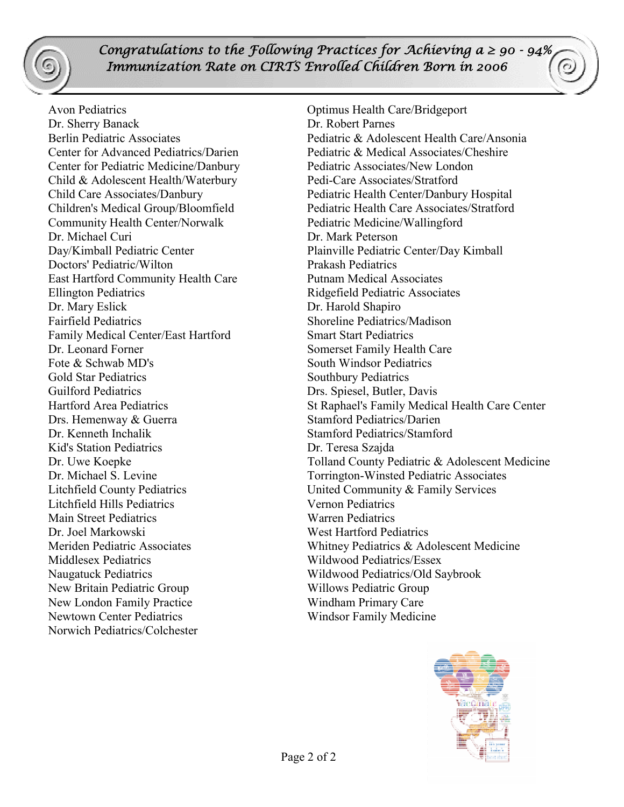*Congratulations to the Following Practices for Achieving*  $a \ge 90 - 94\%$ *Immunization Rate on CIRTS Enrolled Children Born in 2006*

Avon Pediatrics Optimus Health Care/Bridgeport Dr. Sherry Banack Dr. Robert Parnes Center for Pediatric Medicine/Danbury Pediatric Associates/New London Child & Adolescent Health/Waterbury Pedi-Care Associates/Stratford Community Health Center/Norwalk Pediatric Medicine/Wallingford Dr. Michael Curi Dr. Mark Peterson Doctors' Pediatric/Wilton Prakash Pediatrics East Hartford Community Health Care Putnam Medical Associates Ellington Pediatrics Ridgefield Pediatric Associates Dr. Mary Eslick Dr. Harold Shapiro Fairfield Pediatrics Shoreline Pediatrics/Madison Family Medical Center/East Hartford Smart Start Pediatrics Dr. Leonard Forner Somerset Family Health Care Fote & Schwab MD's South Windsor Pediatrics Gold Star Pediatrics Southbury Pediatrics Guilford Pediatrics Drs. Spiesel, Butler, Davis Drs. Hemenway & Guerra Stamford Pediatrics/Darien Dr. Kenneth Inchalik Stamford Pediatrics/Stamford Kid's Station Pediatrics Dr. Teresa Szajda Litchfield Hills Pediatrics Vernon Pediatrics Main Street Pediatrics Warren Pediatrics Dr. Joel Markowski West Hartford Pediatrics Middlesex Pediatrics Wildwood Pediatrics/Essex Naugatuck Pediatrics Wildwood Pediatrics/Old Saybrook New Britain Pediatric Group Willows Pediatric Group New London Family Practice Windham Primary Care Newtown Center Pediatrics Windsor Family Medicine Norwich Pediatrics/Colchester

Berlin Pediatric Associates **Pediatric & Adolescent Health Care/Ansonia** Center for Advanced Pediatrics/Darien Pediatric & Medical Associates/Cheshire Child Care Associates/Danbury Pediatric Health Center/Danbury Hospital Children's Medical Group/Bloomfield Pediatric Health Care Associates/Stratford Day/Kimball Pediatric Center Plainville Pediatric Center/Day Kimball Hartford Area Pediatrics St Raphael's Family Medical Health Care Center Dr. Uwe Koepke Tolland County Pediatric & Adolescent Medicine Dr. Michael S. Levine Torrington-Winsted Pediatric Associates Litchfield County Pediatrics United Community & Family Services Meriden Pediatric Associates Whitney Pediatrics & Adolescent Medicine

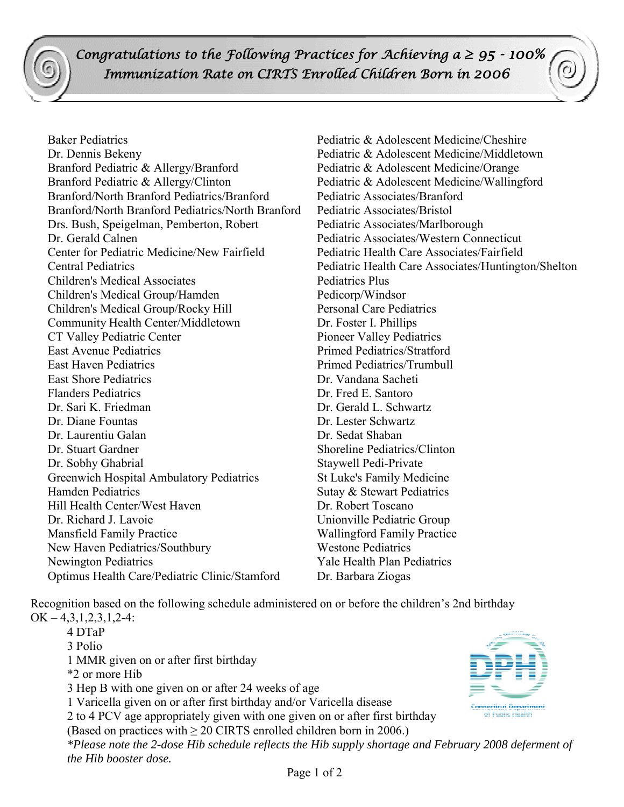*Congratulations to the Following Practices for Achieving*  $a \geq 95 - 100\%$  *Immunization Rate on CIRTS Enrolled Children Born in 2006*

Baker Pediatrics Pediatric & Adolescent Medicine/Cheshire Dr. Dennis Bekeny Pediatric & Adolescent Medicine/Middletown Branford Pediatric & Allergy/Branford Pediatric & Adolescent Medicine/Orange Branford Pediatric & Allergy/Clinton Pediatric & Adolescent Medicine/Wallingford Branford/North Branford Pediatrics/Branford Pediatric Associates/Branford Branford/North Branford Pediatrics/North Branford Pediatric Associates/Bristol Drs. Bush, Speigelman, Pemberton, Robert Pediatric Associates/Marlborough Dr. Gerald Calnen Pediatric Associates/Western Connecticut Center for Pediatric Medicine/New Fairfield Pediatric Health Care Associates/Fairfield Children's Medical Associates **Pediatrics** Plus Children's Medical Group/Hamden Pedicorp/Windsor Children's Medical Group/Rocky Hill Personal Care Pediatrics Community Health Center/Middletown Dr. Foster I. Phillips CT Valley Pediatric Center Pioneer Valley Pediatrics East Avenue Pediatrics Primed Pediatrics/Stratford East Haven Pediatrics **Primed Pediatrics** Primed Pediatrics/Trumbull East Shore Pediatrics Dr. Vandana Sacheti Flanders Pediatrics Dr. Fred E. Santoro Dr. Sari K. Friedman Dr. Gerald L. Schwartz Dr. Diane Fountas Dr. Lester Schwartz Dr. Laurentiu Galan Dr. Sedat Shaban Dr. Stuart Gardner Shoreline Pediatrics/Clinton Dr. Sobhy Ghabrial Staywell Pedi-Private Greenwich Hospital Ambulatory Pediatrics St Luke's Family Medicine Hamden Pediatrics Sutay & Stewart Pediatrics Hill Health Center/West Haven Dr. Robert Toscano Dr. Richard J. Lavoie Unionville Pediatric Group Mansfield Family Practice Wallingford Family Practice New Haven Pediatrics/Southbury Westone Pediatrics Newington Pediatrics Yale Health Plan Pediatrics Optimus Health Care/Pediatric Clinic/Stamford Dr. Barbara Ziogas

Central Pediatrics Pediatric Health Care Associates/Huntington/Shelton

Recognition based on the following schedule administered on or before the children's 2nd birthday

 $OK - 4,3,1,2,3,1,2-4$ : 4 DTaP 3 Polio 1 MMR given on or after first birthday \*2 or more Hib 3 Hep B with one given on or after 24 weeks of age 1 Varicella given on or after first birthday and/or Varicella disease **Connecticut Denartment** 2 to 4 PCV age appropriately given with one given on or after first birthday e sua casa (Based on practices with  $\geq$  20 CIRTS enrolled children born in 2006.) *\*Please note the 2-dose Hib schedule reflects the Hib supply shortage and February 2008 deferment of the Hib booster dose.*